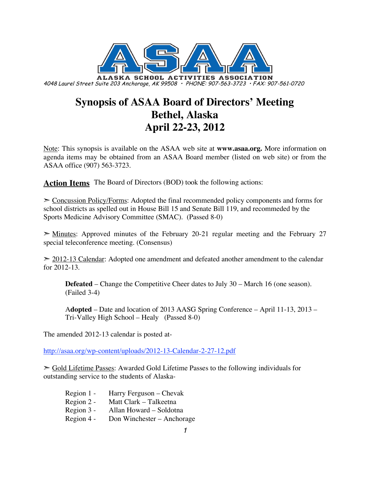

# **Synopsis of ASAA Board of Directors' Meeting Bethel, Alaska April 22-23, 2012**

Note: This synopsis is available on the ASAA web site at **www.asaa.org.** More information on agenda items may be obtained from an ASAA Board member (listed on web site) or from the ASAA office (907) 563-3723.

**Action Items** The Board of Directors (BOD) took the following actions:

➣ Concussion Policy/Forms: Adopted the final recommended policy components and forms for school districts as spelled out in House Bill 15 and Senate Bill 119, and recommeded by the Sports Medicine Advisory Committee (SMAC). (Passed 8-0)

 $\geq$  Minutes: Approved minutes of the February 20-21 regular meeting and the February 27 special teleconference meeting. (Consensus)

 $\geq$  2012-13 Calendar: Adopted one amendment and defeated another amendment to the calendar for 2012-13.

**Defeated** – Change the Competitive Cheer dates to July 30 – March 16 (one season). (Failed 3-4)

A**dopted** – Date and location of 2013 AASG Spring Conference – April 11-13, 2013 – Tri-Valley High School – Healy (Passed 8-0)

The amended 2012-13 calendar is posted at-

http://asaa.org/wp-content/uploads/2012-13-Calendar-2-27-12.pdf

➣ Gold Lifetime Passes: Awarded Gold Lifetime Passes to the following individuals for outstanding service to the students of Alaska-

| Region $1 -$ | Harry Ferguson – Chevak    |
|--------------|----------------------------|
| Region 2 -   | Matt Clark – Talkeetna     |
| Region 3 -   | Allan Howard - Soldotna    |
| Region 4 -   | Don Winchester – Anchorage |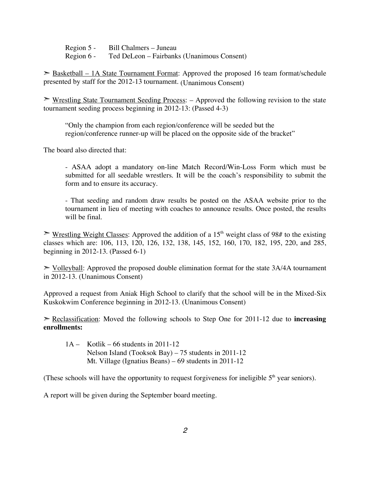Region 5 - Bill Chalmers – Juneau Region 6 - Ted DeLeon – Fairbanks (Unanimous Consent)

► Basketball – 1A State Tournament Format: Approved the proposed 16 team format/schedule presented by staff for the 2012-13 tournament. (Unanimous Consent)

➣ Wrestling State Tournament Seeding Process: – Approved the following revision to the state tournament seeding process beginning in 2012-13: (Passed 4-3)

"Only the champion from each region/conference will be seeded but the region/conference runner-up will be placed on the opposite side of the bracket"

The board also directed that:

- ASAA adopt a mandatory on-line Match Record/Win-Loss Form which must be submitted for all seedable wrestlers. It will be the coach's responsibility to submit the form and to ensure its accuracy.

- That seeding and random draw results be posted on the ASAA website prior to the tournament in lieu of meeting with coaches to announce results. Once posted, the results will be final.

 $\triangleright$  Wrestling Weight Classes: Approved the addition of a 15<sup>th</sup> weight class of 98# to the existing classes which are: 106, 113, 120, 126, 132, 138, 145, 152, 160, 170, 182, 195, 220, and 285, beginning in 2012-13. (Passed 6-1)

 $\geq$  Volleyball: Approved the proposed double elimination format for the state 3A/4A tournament in 2012-13. (Unanimous Consent)

Approved a request from Aniak High School to clarify that the school will be in the Mixed-Six Kuskokwim Conference beginning in 2012-13. (Unanimous Consent)

➣ Reclassification: Moved the following schools to Step One for 2011-12 due to **increasing enrollments:**

 $1A -$ Kotlik – 66 students in 2011-12 Nelson Island (Tooksok Bay) – 75 students in 2011-12 Mt. Village (Ignatius Beans) – 69 students in 2011-12

(These schools will have the opportunity to request forgiveness for ineligible  $5<sup>th</sup>$  year seniors).

A report will be given during the September board meeting.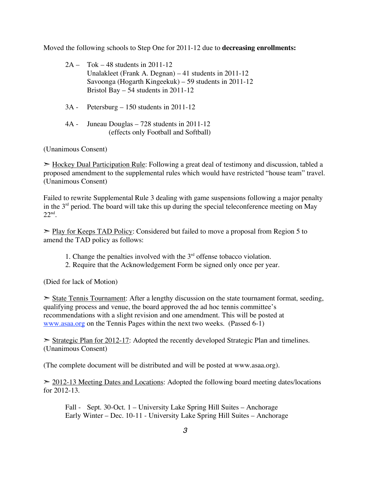Moved the following schools to Step One for 2011-12 due to **decreasing enrollments:**

- 2A Tok 48 students in 2011-12 Unalakleet (Frank A. Degnan) – 41 students in 2011-12 Savoonga (Hogarth Kingeekuk) – 59 students in 2011-12 Bristol Bay – 54 students in 2011-12
- 3A Petersburg 150 students in 2011-12
- 4A Juneau Douglas 728 students in 2011-12 (effects only Football and Softball)

(Unanimous Consent)

 $\geq$  Hockey Dual Participation Rule: Following a great deal of testimony and discussion, tabled a proposed amendment to the supplemental rules which would have restricted "house team" travel. (Unanimous Consent)

Failed to rewrite Supplemental Rule 3 dealing with game suspensions following a major penalty in the  $3<sup>rd</sup>$  period. The board will take this up during the special teleconference meeting on May  $22<sup>nd</sup>$ .

► Play for Keeps TAD Policy: Considered but failed to move a proposal from Region 5 to amend the TAD policy as follows:

- 1. Change the penalties involved with the  $3<sup>rd</sup>$  offense tobacco violation.
- 2. Require that the Acknowledgement Form be signed only once per year.

(Died for lack of Motion)

State Tennis Tournament: After a lengthy discussion on the state tournament format, seeding, qualifying process and venue, the board approved the ad hoc tennis committee's recommendations with a slight revision and one amendment. This will be posted at www.asaa.org on the Tennis Pages within the next two weeks. (Passed 6-1)

 $\geq$  Strategic Plan for 2012-17: Adopted the recently developed Strategic Plan and timelines. (Unanimous Consent)

(The complete document will be distributed and will be posted at www.asaa.org).

 $\geq$  2012-13 Meeting Dates and Locations: Adopted the following board meeting dates/locations for 2012-13.

Fall - Sept. 30-Oct. 1 – University Lake Spring Hill Suites – Anchorage Early Winter – Dec. 10-11 - University Lake Spring Hill Suites – Anchorage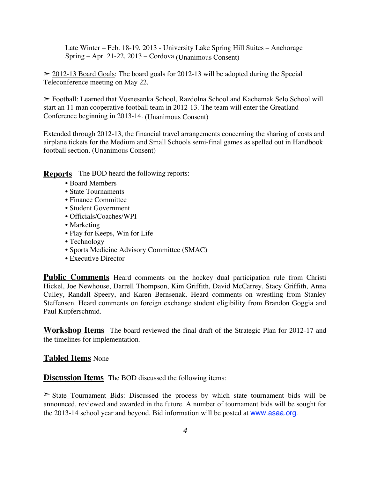Late Winter – Feb. 18-19, 2013 - University Lake Spring Hill Suites – Anchorage Spring – Apr. 21-22, 2013 – Cordova (Unanimous Consent)

 $\geq$  2012-13 Board Goals: The board goals for 2012-13 will be adopted during the Special Teleconference meeting on May 22.

► Football: Learned that Vosnesenka School, Razdolna School and Kachemak Selo School will start an 11 man cooperative football team in 2012-13. The team will enter the Greatland Conference beginning in 2013-14. (Unanimous Consent)

Extended through 2012-13, the financial travel arrangements concerning the sharing of costs and airplane tickets for the Medium and Small Schools semi-final games as spelled out in Handbook football section. (Unanimous Consent)

**Reports** The BOD heard the following reports:

- Board Members
- State Tournaments
- Finance Committee
- Student Government
- Officials/Coaches/WPI
- Marketing
- Play for Keeps, Win for Life
- Technology
- Sports Medicine Advisory Committee (SMAC)
- Executive Director

**Public Comments** Heard comments on the hockey dual participation rule from Christi Hickel, Joe Newhouse, Darrell Thompson, Kim Griffith, David McCarrey, Stacy Griffith, Anna Culley, Randall Speery, and Karen Bernsenak. Heard comments on wrestling from Stanley Steffensen. Heard comments on foreign exchange student eligibility from Brandon Goggia and Paul Kupferschmid.

**Workshop Items** The board reviewed the final draft of the Strategic Plan for 2012-17 and the timelines for implementation.

#### **Tabled Items** None

**Discussion Items** The BOD discussed the following items:

 $\geq$  State Tournament Bids: Discussed the process by which state tournament bids will be announced, reviewed and awarded in the future. A number of tournament bids will be sought for the 2013-14 school year and beyond. Bid information will be posted at www.asaa.org.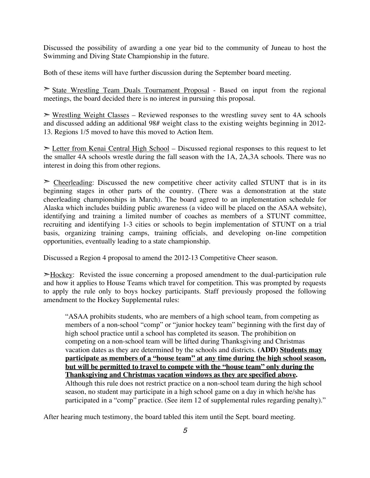Discussed the possibility of awarding a one year bid to the community of Juneau to host the Swimming and Diving State Championship in the future.

Both of these items will have further discussion during the September board meeting.

➣ State Wrestling Team Duals Tournament Proposal - Based on input from the regional meetings, the board decided there is no interest in pursuing this proposal.

 $\triangleright$  Wrestling Weight Classes – Reviewed responses to the wrestling suvey sent to 4A schools and discussed adding an additional 98# weight class to the existing weights beginning in 2012- 13. Regions 1/5 moved to have this moved to Action Item.

➣ Letter from Kenai Central High School – Discussed regional responses to this request to let the smaller 4A schools wrestle during the fall season with the 1A, 2A,3A schools. There was no interest in doing this from other regions.

 $\geq$  Cheerleading: Discussed the new competitive cheer activity called STUNT that is in its beginning stages in other parts of the country. (There was a demonstration at the state cheerleading championships in March). The board agreed to an implementation schedule for Alaska which includes building public awareness (a video will be placed on the ASAA website), identifying and training a limited number of coaches as members of a STUNT committee, recruiting and identifying 1-3 cities or schools to begin implementation of STUNT on a trial basis, organizing training camps, training officials, and developing on-line competition opportunities, eventually leading to a state championship.

Discussed a Region 4 proposal to amend the 2012-13 Competitive Cheer season.

 $\geq$ Hockey: Revisted the issue concerning a proposed amendment to the dual-participation rule and how it applies to House Teams which travel for competition. This was prompted by requests to apply the rule only to boys hockey participants. Staff previously proposed the following amendment to the Hockey Supplemental rules:

"ASAA prohibits students, who are members of a high school team, from competing as members of a non-school "comp" or "junior hockey team" beginning with the first day of high school practice until a school has completed its season. The prohibition on competing on a non-school team will be lifted during Thanksgiving and Christmas vacation dates as they are determined by the schools and districts. **(ADD) Students may participate as members of a "house team" at any time during the high school season, but will be permitted to travel to compete with the "house team" only during the Thanksgiving and Christmas vacation windows as they are specified above.** Although this rule does not restrict practice on a non-school team during the high school season, no student may participate in a high school game on a day in which he/she has participated in a "comp" practice. (See item 12 of supplemental rules regarding penalty)."

After hearing much testimony, the board tabled this item until the Sept. board meeting.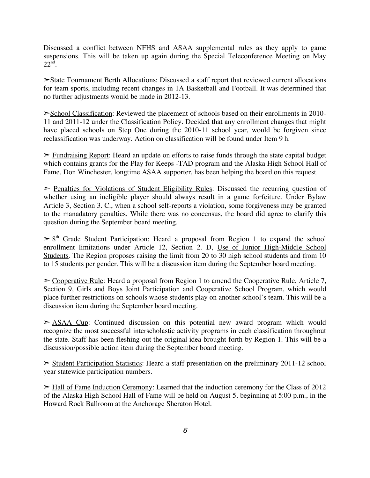Discussed a conflict between NFHS and ASAA supplemental rules as they apply to game suspensions. This will be taken up again during the Special Teleconference Meeting on May  $22<sup>nd</sup>$ .

➣State Tournament Berth Allocations: Discussed a staff report that reviewed current allocations for team sports, including recent changes in 1A Basketball and Football. It was determined that no further adjustments would be made in 2012-13.

➣School Classification: Reviewed the placement of schools based on their enrollments in 2010- 11 and 2011-12 under the Classification Policy. Decided that any enrollment changes that might have placed schools on Step One during the 2010-11 school year, would be forgiven since reclassification was underway. Action on classification will be found under Item 9 h.

 $\ge$  Fundraising Report: Heard an update on efforts to raise funds through the state capital budget which contains grants for the Play for Keeps -TAD program and the Alaska High School Hall of Fame. Don Winchester, longtime ASAA supporter, has been helping the board on this request.

 $\ge$  Penalties for Violations of Student Eligibility Rules: Discussed the recurring question of whether using an ineligible player should always result in a game forfeiture. Under Bylaw Article 3, Section 3. C., when a school self-reports a violation, some forgiveness may be granted to the manadatory penalties. While there was no concensus, the board did agree to clarify this question during the September board meeting.

 $\geq 8$ <sup>th</sup> Grade Student Participation: Heard a proposal from Region 1 to expand the school enrollment limitations under Article 12, Section 2. D, Use of Junior High-Middle School Students. The Region proposes raising the limit from 20 to 30 high school students and from 10 to 15 students per gender. This will be a discussion item during the September board meeting.

 $\geq$  Cooperative Rule: Heard a proposal from Region 1 to amend the Cooperative Rule, Article 7, Section 9, Girls and Boys Joint Participation and Cooperative School Program, which would place further restrictions on schools whose students play on another school's team. This will be a discussion item during the September board meeting.

 $\geq$  ASAA Cup: Continued discussion on this potential new award program which would recognize the most successful interscholastic activity programs in each classification throughout the state. Staff has been fleshing out the original idea brought forth by Region 1. This will be a discussion/possible action item during the September board meeting.

➣ Student Participation Statistics: Heard a staff presentation on the preliminary 2011-12 school year statewide participation numbers.

➣ Hall of Fame Induction Ceremony: Learned that the induction ceremony for the Class of 2012 of the Alaska High School Hall of Fame will be held on August 5, beginning at 5:00 p.m., in the Howard Rock Ballroom at the Anchorage Sheraton Hotel.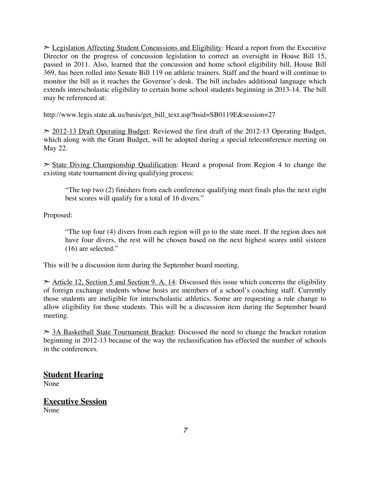$\geq$  Legislation Affecting Student Concussions and Eligibility: Heard a report from the Executive Director on the progress of concussion legislation to correct an oversight in House Bill 15, passed in 2011. Also, learned that the concussion and home school eligibility bill, House Bill 369, has been rolled into Senate Bill 119 on athletic trainers. Staff and the board will continue to monitor the bill as it reaches the Governor's desk. The bill includes additional language which extends interscholastic eligibility to certain home school students beginning in 2013-14. The bill may be referenced at:

http://www.legis.state.ak.us/basis/get\_bill\_text.asp?hsid=SB0119E&session=27

 $\geq$  2012-13 Draft Operating Budget: Reviewed the first draft of the 2012-13 Operating Budget, which along with the Grant Budget, will be adopted during a special teleconference meeting on May 22.

 $\geq$  State Diving Championship Qualification: Heard a proposal from Region 4 to change the existing state tournament diving qualifying process:

"The top two (2) finishers from each conference qualifying meet finals plus the next eight best scores will qualify for a total of 16 divers."

Proposed:

"The top four (4) divers from each region will go to the state meet. If the region does not have four divers, the rest will be chosen based on the next highest scores until sixteen (16) are selected."

This will be a discussion item during the September board meeting.

 $\geq$  Article 12, Section 5 and Section 9. A. 14: Discussed this issue which concerns the eligibility of foreign exchange students whose hosts are members of a school's coaching staff. Currently those students are ineligible for interscholastic athletics. Some are requesting a rule change to allow eligibility for those students. This will be a discussion item during the September board meeting.

 $> 3A$  Basketball State Tournament Bracket: Discussed the need to change the bracket rotation beginning in 2012-13 because of the way the reclassification has effected the number of schools in the conferences.

### **Student Hearing**

None

#### **Executive Session** None